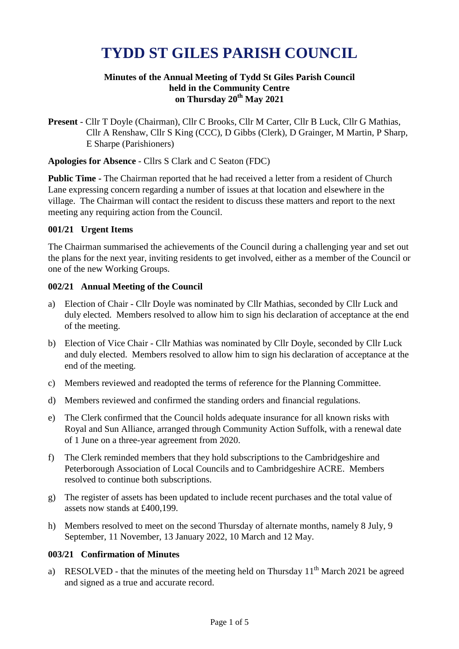# **TYDD ST GILES PARISH COUNCIL**

#### **Minutes of the Annual Meeting of Tydd St Giles Parish Council held in the Community Centre on Thursday 20th May 2021**

**Present** - Cllr T Doyle (Chairman), Cllr C Brooks, Cllr M Carter, Cllr B Luck, Cllr G Mathias, Cllr A Renshaw, Cllr S King (CCC), D Gibbs (Clerk), D Grainger, M Martin, P Sharp, E Sharpe (Parishioners)

**Apologies for Absence** - Cllrs S Clark and C Seaton (FDC)

**Public Time -** The Chairman reported that he had received a letter from a resident of Church Lane expressing concern regarding a number of issues at that location and elsewhere in the village. The Chairman will contact the resident to discuss these matters and report to the next meeting any requiring action from the Council.

### **001/21 Urgent Items**

The Chairman summarised the achievements of the Council during a challenging year and set out the plans for the next year, inviting residents to get involved, either as a member of the Council or one of the new Working Groups.

#### **002/21 Annual Meeting of the Council**

- a) Election of Chair Cllr Doyle was nominated by Cllr Mathias, seconded by Cllr Luck and duly elected. Members resolved to allow him to sign his declaration of acceptance at the end of the meeting.
- b) Election of Vice Chair Cllr Mathias was nominated by Cllr Doyle, seconded by Cllr Luck and duly elected. Members resolved to allow him to sign his declaration of acceptance at the end of the meeting.
- c) Members reviewed and readopted the terms of reference for the Planning Committee.
- d) Members reviewed and confirmed the standing orders and financial regulations.
- e) The Clerk confirmed that the Council holds adequate insurance for all known risks with Royal and Sun Alliance, arranged through Community Action Suffolk, with a renewal date of 1 June on a three-year agreement from 2020.
- f) The Clerk reminded members that they hold subscriptions to the Cambridgeshire and Peterborough Association of Local Councils and to Cambridgeshire ACRE. Members resolved to continue both subscriptions.
- g) The register of assets has been updated to include recent purchases and the total value of assets now stands at £400,199.
- h) Members resolved to meet on the second Thursday of alternate months, namely 8 July, 9 September, 11 November, 13 January 2022, 10 March and 12 May.

#### **003/21 Confirmation of Minutes**

a) RESOLVED - that the minutes of the meeting held on Thursday  $11<sup>th</sup>$  March 2021 be agreed and signed as a true and accurate record.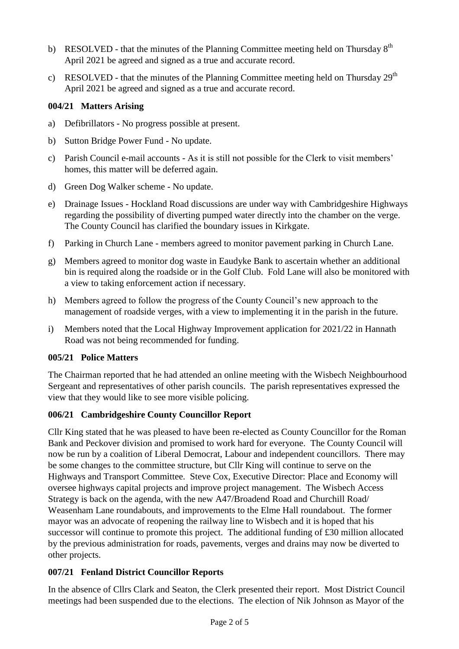- b) RESOLVED that the minutes of the Planning Committee meeting held on Thursday  $8<sup>th</sup>$ April 2021 be agreed and signed as a true and accurate record.
- c) RESOLVED that the minutes of the Planning Committee meeting held on Thursday  $29<sup>th</sup>$ April 2021 be agreed and signed as a true and accurate record.

## **004/21 Matters Arising**

- a) Defibrillators No progress possible at present.
- b) Sutton Bridge Power Fund No update.
- c) Parish Council e-mail accounts As it is still not possible for the Clerk to visit members' homes, this matter will be deferred again.
- d) Green Dog Walker scheme No update.
- e) Drainage Issues Hockland Road discussions are under way with Cambridgeshire Highways regarding the possibility of diverting pumped water directly into the chamber on the verge. The County Council has clarified the boundary issues in Kirkgate.
- f) Parking in Church Lane members agreed to monitor pavement parking in Church Lane.
- g) Members agreed to monitor dog waste in Eaudyke Bank to ascertain whether an additional bin is required along the roadside or in the Golf Club. Fold Lane will also be monitored with a view to taking enforcement action if necessary.
- h) Members agreed to follow the progress of the County Council's new approach to the management of roadside verges, with a view to implementing it in the parish in the future.
- i) Members noted that the Local Highway Improvement application for 2021/22 in Hannath Road was not being recommended for funding.

# **005/21 Police Matters**

The Chairman reported that he had attended an online meeting with the Wisbech Neighbourhood Sergeant and representatives of other parish councils. The parish representatives expressed the view that they would like to see more visible policing.

# **006/21 Cambridgeshire County Councillor Report**

Cllr King stated that he was pleased to have been re-elected as County Councillor for the Roman Bank and Peckover division and promised to work hard for everyone. The County Council will now be run by a coalition of Liberal Democrat, Labour and independent councillors. There may be some changes to the committee structure, but Cllr King will continue to serve on the Highways and Transport Committee. Steve Cox, Executive Director: Place and Economy will oversee highways capital projects and improve project management. The Wisbech Access Strategy is back on the agenda, with the new A47/Broadend Road and Churchill Road/ Weasenham Lane roundabouts, and improvements to the Elme Hall roundabout. The former mayor was an advocate of reopening the railway line to Wisbech and it is hoped that his successor will continue to promote this project. The additional funding of £30 million allocated by the previous administration for roads, pavements, verges and drains may now be diverted to other projects.

# **007/21 Fenland District Councillor Reports**

In the absence of Cllrs Clark and Seaton, the Clerk presented their report. Most District Council meetings had been suspended due to the elections. The election of Nik Johnson as Mayor of the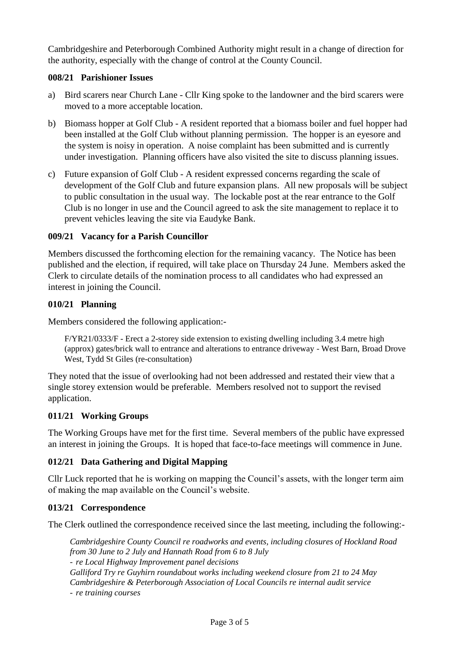Cambridgeshire and Peterborough Combined Authority might result in a change of direction for the authority, especially with the change of control at the County Council.

## **008/21 Parishioner Issues**

- a) Bird scarers near Church Lane Cllr King spoke to the landowner and the bird scarers were moved to a more acceptable location.
- b) Biomass hopper at Golf Club A resident reported that a biomass boiler and fuel hopper had been installed at the Golf Club without planning permission. The hopper is an eyesore and the system is noisy in operation. A noise complaint has been submitted and is currently under investigation. Planning officers have also visited the site to discuss planning issues.
- c) Future expansion of Golf Club A resident expressed concerns regarding the scale of development of the Golf Club and future expansion plans. All new proposals will be subject to public consultation in the usual way. The lockable post at the rear entrance to the Golf Club is no longer in use and the Council agreed to ask the site management to replace it to prevent vehicles leaving the site via Eaudyke Bank.

## **009/21 Vacancy for a Parish Councillor**

Members discussed the forthcoming election for the remaining vacancy. The Notice has been published and the election, if required, will take place on Thursday 24 June. Members asked the Clerk to circulate details of the nomination process to all candidates who had expressed an interest in joining the Council.

## **010/21 Planning**

Members considered the following application:-

F/YR21/0333/F - Erect a 2-storey side extension to existing dwelling including 3.4 metre high (approx) gates/brick wall to entrance and alterations to entrance driveway - West Barn, Broad Drove West, Tydd St Giles (re-consultation)

They noted that the issue of overlooking had not been addressed and restated their view that a single storey extension would be preferable. Members resolved not to support the revised application.

### **011/21 Working Groups**

The Working Groups have met for the first time. Several members of the public have expressed an interest in joining the Groups. It is hoped that face-to-face meetings will commence in June.

# **012/21 Data Gathering and Digital Mapping**

Cllr Luck reported that he is working on mapping the Council's assets, with the longer term aim of making the map available on the Council's website.

# **013/21 Correspondence**

The Clerk outlined the correspondence received since the last meeting, including the following:-

*Cambridgeshire County Council re roadworks and events, including closures of Hockland Road from 30 June to 2 July and Hannath Road from 6 to 8 July* - *re Local Highway Improvement panel decisions Galliford Try re Guyhirn roundabout works including weekend closure from 21 to 24 May Cambridgeshire & Peterborough Association of Local Councils re internal audit service* - *re training courses*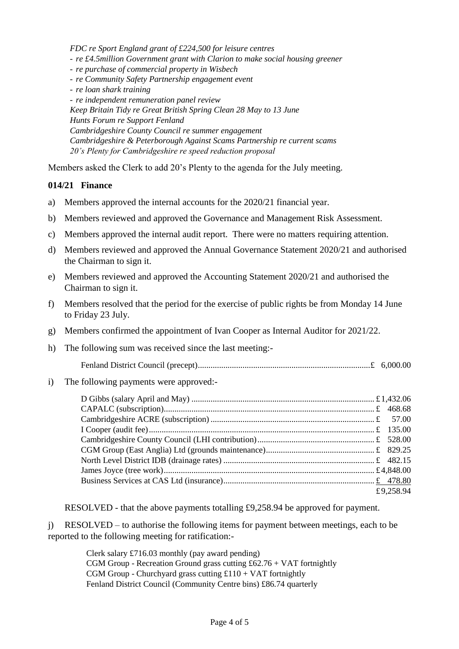*FDC re Sport England grant of £224,500 for leisure centres* - *re £4.5million Government grant with Clarion to make social housing greener* - *re purchase of commercial property in Wisbech* - *re Community Safety Partnership engagement event* - *re loan shark training* - *re independent remuneration panel review Keep Britain Tidy re Great British Spring Clean 28 May to 13 June Hunts Forum re Support Fenland Cambridgeshire County Council re summer engagement Cambridgeshire & Peterborough Against Scams Partnership re current scams 20's Plenty for Cambridgeshire re speed reduction proposal*

Members asked the Clerk to add 20's Plenty to the agenda for the July meeting.

#### **014/21 Finance**

- a) Members approved the internal accounts for the 2020/21 financial year.
- b) Members reviewed and approved the Governance and Management Risk Assessment.
- c) Members approved the internal audit report. There were no matters requiring attention.
- d) Members reviewed and approved the Annual Governance Statement 2020/21 and authorised the Chairman to sign it.
- e) Members reviewed and approved the Accounting Statement 2020/21 and authorised the Chairman to sign it.
- f) Members resolved that the period for the exercise of public rights be from Monday 14 June to Friday 23 July.
- g) Members confirmed the appointment of Ivan Cooper as Internal Auditor for 2021/22.
- h) The following sum was received since the last meeting:-
	- Fenland District Council (precept).................................................................................£ 6,000.00
- i) The following payments were approved:-

|  | £9,258.94 |
|--|-----------|

RESOLVED - that the above payments totalling £9,258.94 be approved for payment.

j) RESOLVED – to authorise the following items for payment between meetings, each to be reported to the following meeting for ratification:-

> Clerk salary £716.03 monthly (pay award pending) CGM Group - Recreation Ground grass cutting  $£62.76 + VAT$  fortnightly CGM Group - Churchyard grass cutting  $£110 + VAT$  fortnightly Fenland District Council (Community Centre bins) £86.74 quarterly